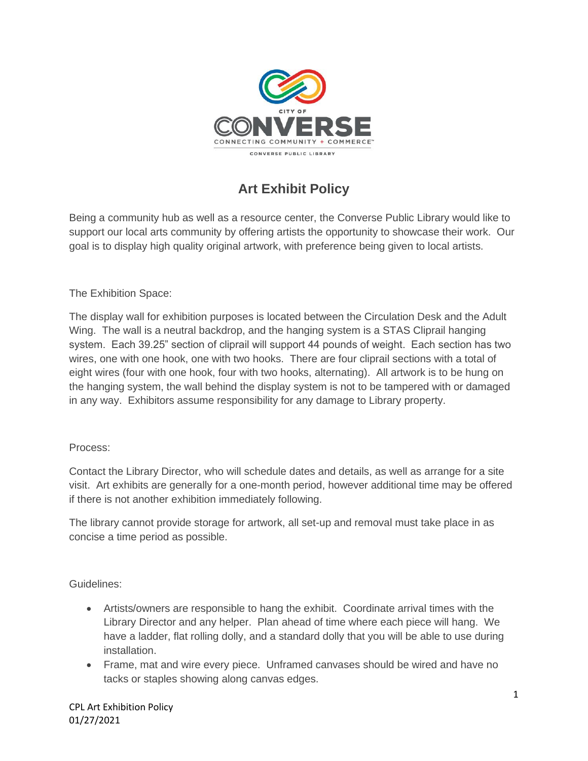

## **Art Exhibit Policy**

Being a community hub as well as a resource center, the Converse Public Library would like to support our local arts community by offering artists the opportunity to showcase their work. Our goal is to display high quality original artwork, with preference being given to local artists.

The Exhibition Space:

The display wall for exhibition purposes is located between the Circulation Desk and the Adult Wing. The wall is a neutral backdrop, and the hanging system is a STAS Cliprail hanging system. Each 39.25" section of cliprail will support 44 pounds of weight. Each section has two wires, one with one hook, one with two hooks. There are four cliprail sections with a total of eight wires (four with one hook, four with two hooks, alternating). All artwork is to be hung on the hanging system, the wall behind the display system is not to be tampered with or damaged in any way. Exhibitors assume responsibility for any damage to Library property.

## Process:

Contact the Library Director, who will schedule dates and details, as well as arrange for a site visit. Art exhibits are generally for a one-month period, however additional time may be offered if there is not another exhibition immediately following.

The library cannot provide storage for artwork, all set-up and removal must take place in as concise a time period as possible.

Guidelines:

- Artists/owners are responsible to hang the exhibit. Coordinate arrival times with the Library Director and any helper. Plan ahead of time where each piece will hang. We have a ladder, flat rolling dolly, and a standard dolly that you will be able to use during installation.
- Frame, mat and wire every piece. Unframed canvases should be wired and have no tacks or staples showing along canvas edges.